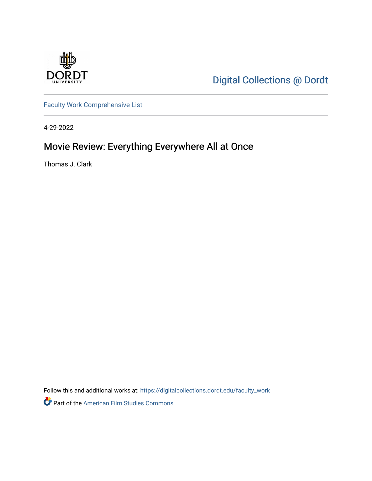

[Digital Collections @ Dordt](https://digitalcollections.dordt.edu/) 

[Faculty Work Comprehensive List](https://digitalcollections.dordt.edu/faculty_work)

4-29-2022

# Movie Review: Everything Everywhere All at Once

Thomas J. Clark

Follow this and additional works at: [https://digitalcollections.dordt.edu/faculty\\_work](https://digitalcollections.dordt.edu/faculty_work?utm_source=digitalcollections.dordt.edu%2Ffaculty_work%2F1385&utm_medium=PDF&utm_campaign=PDFCoverPages) 

Part of the [American Film Studies Commons](http://network.bepress.com/hgg/discipline/440?utm_source=digitalcollections.dordt.edu%2Ffaculty_work%2F1385&utm_medium=PDF&utm_campaign=PDFCoverPages)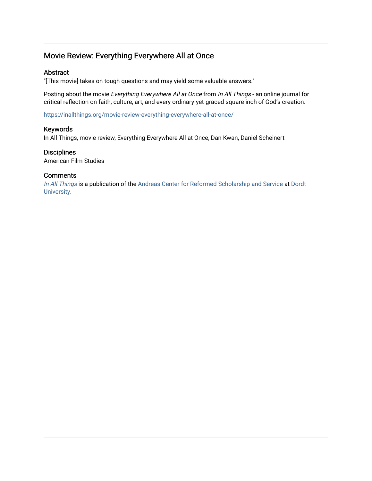### Movie Review: Everything Everywhere All at Once

#### Abstract

"[This movie] takes on tough questions and may yield some valuable answers."

Posting about the movie Everything Everywhere All at Once from In All Things - an online journal for critical reflection on faith, culture, art, and every ordinary-yet-graced square inch of God's creation.

<https://inallthings.org/movie-review-everything-everywhere-all-at-once/>

#### Keywords

In All Things, movie review, Everything Everywhere All at Once, Dan Kwan, Daniel Scheinert

#### **Disciplines**

American Film Studies

#### **Comments**

[In All Things](http://inallthings.org/) is a publication of the [Andreas Center for Reformed Scholarship and Service](http://www.dordt.edu/services_support/andreas_center/) at Dordt [University](http://www.dordt.edu/).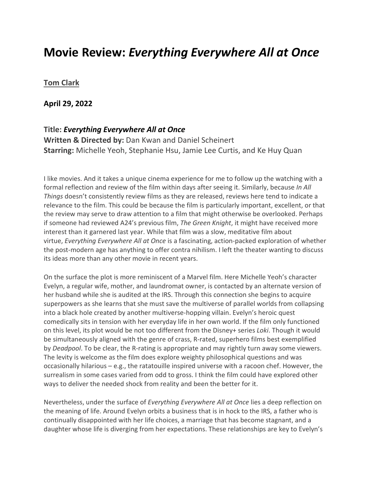## **Movie Review:** *Everything Everywhere All at Once*

### **[Tom Clark](https://inallthings.org/author/tom-clark/)**

**April 29, 2022**

#### **Title:** *Everything Everywhere All at Once*

**Written & Directed by:** Dan Kwan and Daniel Scheinert **Starring:** Michelle Yeoh, Stephanie Hsu, Jamie Lee Curtis, and Ke Huy Quan

I like movies. And it takes a unique cinema experience for me to follow up the watching with a formal reflection and review of the film within days after seeing it. Similarly, because *In All Things* doesn't consistently review films as they are released, reviews here tend to indicate a relevance to the film. This could be because the film is particularly important, excellent, or that the review may serve to draw attention to a film that might otherwise be overlooked. Perhaps if someone had reviewed A24's previous film, *The Green Knight*, it might have received more interest than it garnered last year. While that film was a slow, meditative film about virtue, *Everything Everywhere All at Once* is a fascinating, action-packed exploration of whether the post-modern age has anything to offer contra nihilism. I left the theater wanting to discuss its ideas more than any other movie in recent years.

On the surface the plot is more reminiscent of a Marvel film. Here Michelle Yeoh's character Evelyn, a regular wife, mother, and laundromat owner, is contacted by an alternate version of her husband while she is audited at the IRS. Through this connection she begins to acquire superpowers as she learns that she must save the multiverse of parallel worlds from collapsing into a black hole created by another multiverse-hopping villain. Evelyn's heroic quest comedically sits in tension with her everyday life in her own world. If the film only functioned on this level, its plot would be not too different from the Disney+ series *Loki*. Though it would be simultaneously aligned with the genre of crass, R-rated, superhero films best exemplified by *Deadpool*. To be clear, the R-rating is appropriate and may rightly turn away some viewers. The levity is welcome as the film does explore weighty philosophical questions and was occasionally hilarious – e.g., the ratatouille inspired universe with a racoon chef. However, the surrealism in some cases varied from odd to gross. I think the film could have explored other ways to deliver the needed shock from reality and been the better for it.

Nevertheless, under the surface of *Everything Everywhere All at Once* lies a deep reflection on the meaning of life. Around Evelyn orbits a business that is in hock to the IRS, a father who is continually disappointed with her life choices, a marriage that has become stagnant, and a daughter whose life is diverging from her expectations. These relationships are key to Evelyn's